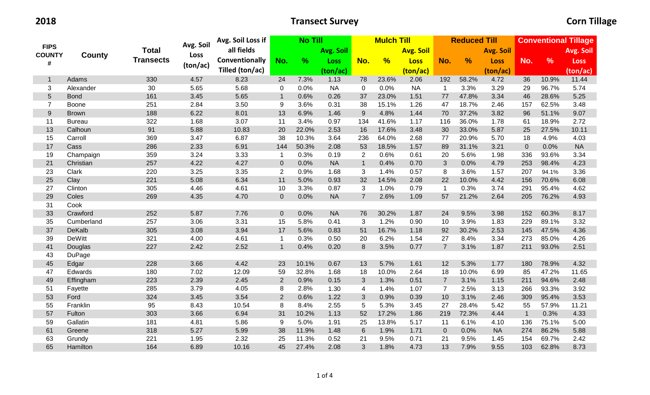|                    |               | <b>Total</b>     | Avg. Soil | Avg. Soil Loss if | <b>No Till</b> |       |                  |                | <b>Mulch Till</b> |                  |                | <b>Reduced Till</b> |             | <b>Conventional Tillage</b> |               |             |
|--------------------|---------------|------------------|-----------|-------------------|----------------|-------|------------------|----------------|-------------------|------------------|----------------|---------------------|-------------|-----------------------------|---------------|-------------|
| <b>FIPS</b>        |               |                  |           | all fields        |                |       | <b>Avg. Soil</b> |                |                   | <b>Avg. Soil</b> |                | <b>Avg. Soil</b>    |             |                             | Avg. Soil     |             |
| <b>COUNTY</b><br># | County        | <b>Transects</b> | Loss      | Conventionally    | No.            | %     | <b>Loss</b>      | No.            | %                 | <b>Loss</b>      | No.            | $\frac{9}{6}$       | <b>Loss</b> | No.                         | $\frac{9}{6}$ | <b>Loss</b> |
|                    |               |                  | (ton/ac)  | Tilled (ton/ac)   |                |       | (ton/ac)         |                |                   | (ton/ac)         |                |                     | (ton/ac)    |                             |               | (ton/ac)    |
| $\mathbf{1}$       | Adams         | 330              | 4.57      | 8.23              | 24             | 7.3%  | 1.13             | 78             | 23.6%             | 2.06             | 192            | 58.2%               | 4.72        | 36                          | 10.9%         | 11.44       |
| 3                  | Alexander     | 30               | 5.65      | 5.68              | 0              | 0.0%  | <b>NA</b>        | $\mathbf 0$    | 0.0%              | <b>NA</b>        | $\mathbf{1}$   | 3.3%                | 3.29        | 29                          | 96.7%         | 5.74        |
| $\overline{5}$     | <b>Bond</b>   | 161              | 3.45      | 5.65              | $\mathbf{1}$   | 0.6%  | 0.26             | 37             | 23.0%             | 1.51             | 77             | 47.8%               | 3.34        | 46                          | 28.6%         | 5.25        |
| $\overline{7}$     | Boone         | 251              | 2.84      | 3.50              | 9              | 3.6%  | 0.31             | 38             | 15.1%             | 1.26             | 47             | 18.7%               | 2.46        | 157                         | 62.5%         | 3.48        |
| $\boldsymbol{9}$   | <b>Brown</b>  | 188              | 6.22      | 8.01              | 13             | 6.9%  | 1.46             | 9              | 4.8%              | 1.44             | 70             | 37.2%               | 3.82        | 96                          | 51.1%         | 9.07        |
| 11                 | <b>Bureau</b> | 322              | 1.68      | 3.07              | 11             | 3.4%  | 0.97             | 134            | 41.6%             | 1.17             | 116            | 36.0%               | 1.78        | 61                          | 18.9%         | 2.72        |
| 13                 | Calhoun       | 91               | 5.88      | 10.83             | 20             | 22.0% | 2.53             | 16             | 17.6%             | 3.48             | 30             | 33.0%               | 5.87        | 25                          | 27.5%         | 10.11       |
| 15                 | Carroll       | 369              | 3.47      | 6.87              | 38             | 10.3% | 3.64             | 236            | 64.0%             | 2.68             | 77             | 20.9%               | 5.70        | 18                          | 4.9%          | 4.03        |
| 17                 | Cass          | 286              | 2.33      | 6.91              | 144            | 50.3% | 2.08             | 53             | 18.5%             | 1.57             | 89             | 31.1%               | 3.21        | $\overline{0}$              | 0.0%          | <b>NA</b>   |
| 19                 | Champaign     | 359              | 3.24      | 3.33              | $\mathbf{1}$   | 0.3%  | 0.19             | $\overline{2}$ | 0.6%              | 0.61             | 20             | 5.6%                | 1.98        | 336                         | 93.6%         | 3.34        |
| 21                 | Christian     | 257              | 4.22      | 4.27              | $\pmb{0}$      | 0.0%  | <b>NA</b>        | $\mathbf{1}$   | 0.4%              | 0.70             | $\mathfrak{S}$ | 0.0%                | 4.79        | 253                         | 98.4%         | 4.23        |
| 23                 | Clark         | 220              | 3.25      | 3.35              | $\mathbf{2}$   | 0.9%  | 1.68             | 3              | 1.4%              | 0.57             | 8              | 3.6%                | 1.57        | 207                         | 94.1%         | 3.36        |
| 25                 | Clay          | 221              | 5.08      | 6.34              | 11             | 5.0%  | 0.93             | 32             | 14.5%             | 2.08             | 22             | 10.0%               | 4.42        | 156                         | 70.6%         | 6.08        |
| 27                 | Clinton       | 305              | 4.46      | 4.61              | 10             | 3.3%  | 0.87             | 3              | 1.0%              | 0.79             | $\mathbf{1}$   | 0.3%                | 3.74        | 291                         | 95.4%         | 4.62        |
| 29                 | Coles         | 269              | 4.35      | 4.70              | $\overline{0}$ | 0.0%  | <b>NA</b>        | $\overline{7}$ | 2.6%              | 1.09             | 57             | 21.2%               | 2.64        | 205                         | 76.2%         | 4.93        |
| 31                 | Cook          |                  |           |                   |                |       |                  |                |                   |                  |                |                     |             |                             |               |             |
| 33                 | Crawford      | 252              | 5.87      | 7.76              | $\mathbf 0$    | 0.0%  | <b>NA</b>        | 76             | 30.2%             | 1.87             | 24             | 9.5%                | 3.98        | 152                         | 60.3%         | 8.17        |
| 35                 | Cumberland    | 257              | 3.06      | 3.31              | 15             | 5.8%  | 0.41             | 3              | 1.2%              | 0.90             | 10             | 3.9%                | 1.83        | 229                         | 89.1%         | 3.32        |
| 37                 | DeKalb        | 305              | 3.08      | 3.94              | 17             | 5.6%  | 0.83             | 51             | 16.7%             | 1.18             | 92             | 30.2%               | 2.53        | 145                         | 47.5%         | 4.36        |
| 39                 | <b>DeWitt</b> | 321              | 4.00      | 4.61              | $\mathbf{1}$   | 0.3%  | 0.50             | 20             | 6.2%              | 1.54             | 27             | 8.4%                | 3.34        | 273                         | 85.0%         | 4.26        |
| 41                 | Douglas       | 227              | 2.42      | 2.52              | $\mathbf{1}$   | 0.4%  | 0.20             | 8              | 3.5%              | 0.77             | $\overline{7}$ | 3.1%                | 1.87        | 211                         | 93.0%         | 2.51        |
| 43                 | DuPage        |                  |           |                   |                |       |                  |                |                   |                  |                |                     |             |                             |               |             |
| 45                 | Edgar         | 228              | 3.66      | 4.42              | 23             | 10.1% | 0.67             | 13             | 5.7%              | 1.61             | 12             | 5.3%                | 1.77        | 180                         | 78.9%         | 4.32        |
| 47                 | Edwards       | 180              | 7.02      | 12.09             | 59             | 32.8% | 1.68             | 18             | 10.0%             | 2.64             | 18             | 10.0%               | 6.99        | 85                          | 47.2%         | 11.65       |
| 49                 | Effingham     | 223              | 2.39      | 2.45              | $\mathbf 2$    | 0.9%  | 0.15             | 3              | 1.3%              | 0.51             | $\overline{7}$ | 3.1%                | 1.15        | 211                         | 94.6%         | 2.48        |
| 51                 | Fayette       | 285              | 3.79      | 4.05              | 8              | 2.8%  | 1.30             | 4              | 1.4%              | 1.07             | $\overline{7}$ | 2.5%                | 3.13        | 266                         | 93.3%         | 3.92        |
| 53                 | Ford          | 324              | 3.45      | 3.54              | $\overline{2}$ | 0.6%  | 1.22             | 3              | 0.9%              | 0.39             | 10             | 3.1%                | 2.46        | 309                         | 95.4%         | 3.53        |
| 55                 | Franklin      | 95               | 8.43      | 10.54             | 8              | 8.4%  | 2.55             | 5              | 5.3%              | 3.45             | 27             | 28.4%               | 5.42        | 55                          | 57.9%         | 11.21       |
| 57                 | Fulton        | 303              | 3.66      | 6.94              | 31             | 10.2% | 1.13             | 52             | 17.2%             | 1.86             | 219            | 72.3%               | 4.44        | $\mathbf{1}$                | 0.3%          | 4.33        |
| 59                 | Gallatin      | 181              | 4.81      | 5.86              | 9              | 5.0%  | 1.91             | 25             | 13.8%             | 5.17             | 11             | 6.1%                | 4.10        | 136                         | 75.1%         | 5.00        |
| 61                 | Greene        | 318              | 5.27      | 5.99              | 38             | 11.9% | 1.48             | $6\phantom{1}$ | 1.9%              | 1.71             | $\mathbf 0$    | 0.0%                | <b>NA</b>   | 274                         | 86.2%         | 5.88        |
| 63                 | Grundy        | 221              | 1.95      | 2.32              | 25             | 11.3% | 0.52             | 21             | 9.5%              | 0.71             | 21             | 9.5%                | 1.45        | 154                         | 69.7%         | 2.42        |
| 65                 | Hamilton      | 164              | 6.89      | 10.16             | 45             | 27.4% | 2.08             | 3              | 1.8%              | 4.73             | 13             | 7.9%                | 9.55        | 103                         | 62.8%         | 8.73        |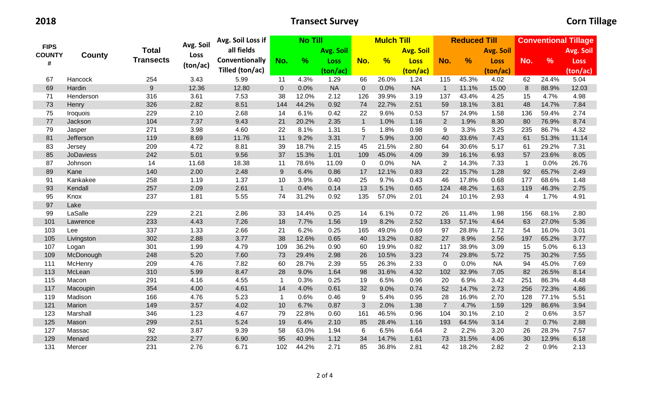|                    |                  |                  |           | Avg. Soil Loss if | <b>No Till</b> |               |                  |                | <b>Mulch Till</b> |                  |                | <b>Reduced Till</b> |                  | <b>Conventional Tillage</b> |               |             |  |
|--------------------|------------------|------------------|-----------|-------------------|----------------|---------------|------------------|----------------|-------------------|------------------|----------------|---------------------|------------------|-----------------------------|---------------|-------------|--|
| <b>FIPS</b>        |                  | <b>Total</b>     | Avg. Soil | all fields        |                |               | <b>Avg. Soil</b> |                |                   | <b>Avg. Soil</b> |                |                     | <b>Avg. Soil</b> |                             |               | Avg. Soil   |  |
| <b>COUNTY</b><br># | County           | <b>Transects</b> | Loss      | Conventionally    | No.            | $\frac{9}{6}$ | Loss             | No.            | $\frac{9}{6}$     | <b>Loss</b>      | No.            | %                   | <b>Loss</b>      | No.                         | $\frac{9}{6}$ | <b>Loss</b> |  |
|                    |                  |                  | (ton/ac)  | Tilled (ton/ac)   |                |               | (ton/ac)         |                |                   | (ton/ac)         |                |                     | (ton/ac)         |                             |               | (ton/ac)    |  |
| 67                 | Hancock          | 254              | 3.43      | 5.99              | 11             | 4.3%          | 1.29             | 66             | 26.0%             | 1.24             | 115            | 45.3%               | 4.02             | 62                          | 24.4%         | 5.04        |  |
| 69                 | Hardin           | 9                | 12.36     | 12.80             | $\mathbf{0}$   | 0.0%          | <b>NA</b>        | $\pmb{0}$      | 0.0%              | <b>NA</b>        | $\overline{1}$ | 11.1%               | 15.00            | $\,8\,$                     | 88.9%         | 12.03       |  |
| 71                 | Henderson        | 316              | 3.61      | 7.53              | 38             | 12.0%         | 2.12             | 126            | 39.9%             | 3.19             | 137            | 43.4%               | 4.25             | 15                          | 4.7%          | 4.98        |  |
| 73                 | Henry            | 326              | 2.82      | 8.51              | 144            | 44.2%         | 0.92             | 74             | 22.7%             | 2.51             | 59             | 18.1%               | 3.81             | 48                          | 14.7%         | 7.84        |  |
| 75                 | <b>Iroquois</b>  | 229              | 2.10      | 2.68              | 14             | 6.1%          | 0.42             | 22             | 9.6%              | 0.53             | 57             | 24.9%               | 1.58             | 136                         | 59.4%         | 2.74        |  |
| $77 \,$            | Jackson          | 104              | 7.37      | 9.43              | 21             | 20.2%         | 2.35             | $\mathbf{1}$   | 1.0%              | 1.16             | $\overline{2}$ | 1.9%                | 8.30             | 80                          | 76.9%         | 8.74        |  |
| 79                 | Jasper           | 271              | 3.98      | 4.60              | 22             | 8.1%          | 1.31             | 5              | 1.8%              | 0.98             | 9              | 3.3%                | 3.25             | 235                         | 86.7%         | 4.32        |  |
| 81                 | Jefferson        | 119              | 8.69      | 11.76             | 11             | 9.2%          | 3.31             | $\overline{7}$ | 5.9%              | 3.00             | 40             | 33.6%               | 7.43             | 61                          | 51.3%         | 11.14       |  |
| 83                 | Jersey           | 209              | 4.72      | 8.81              | 39             | 18.7%         | 2.15             | 45             | 21.5%             | 2.80             | 64             | 30.6%               | 5.17             | 61                          | 29.2%         | 7.31        |  |
| 85                 | <b>JoDaviess</b> | 242              | 5.01      | 9.56              | 37             | 15.3%         | 1.01             | 109            | 45.0%             | 4.09             | 39             | 16.1%               | 6.93             | 57                          | 23.6%         | 8.05        |  |
| 87                 | Johnson          | 14               | 11.68     | 18.38             | 11             | 78.6%         | 11.09            | $\mathbf 0$    | 0.0%              | <b>NA</b>        | $\overline{2}$ | 14.3%               | 7.33             | $\overline{1}$              | 0.0%          | 26.76       |  |
| 89                 | Kane             | 140              | 2.00      | 2.48              | 9              | 6.4%          | 0.86             | 17             | 12.1%             | 0.83             | 22             | 15.7%               | 1.28             | 92                          | 65.7%         | 2.49        |  |
| 91                 | Kankakee         | 258              | 1.19      | 1.37              | 10             | 3.9%          | 0.40             | 25             | 9.7%              | 0.43             | 46             | 17.8%               | 0.68             | 177                         | 68.6%         | 1.48        |  |
| 93                 | Kendall          | 257              | 2.09      | 2.61              | $\mathbf{1}$   | 0.4%          | 0.14             | 13             | 5.1%              | 0.65             | 124            | 48.2%               | 1.63             | 119                         | 46.3%         | 2.75        |  |
| 95                 | Knox             | 237              | 1.81      | 5.55              | 74             | 31.2%         | 0.92             | 135            | 57.0%             | 2.01             | 24             | 10.1%               | 2.93             | 4                           | 1.7%          | 4.91        |  |
| 97                 | Lake             |                  |           |                   |                |               |                  |                |                   |                  |                |                     |                  |                             |               |             |  |
| 99                 | LaSalle          | 229              | 2.21      | 2.86              | 33             | 14.4%         | 0.25             | 14             | 6.1%              | 0.72             | 26             | 11.4%               | 1.98             | 156                         | 68.1%         | 2.80        |  |
| 101                | Lawrence         | 233              | 4.43      | 7.26              | 18             | 7.7%          | 1.56             | 19             | 8.2%              | 2.52             | 133            | 57.1%               | 4.64             | 63                          | 27.0%         | 5.36        |  |
| 103                | Lee              | 337              | 1.33      | 2.66              | 21             | 6.2%          | 0.25             | 165            | 49.0%             | 0.69             | 97             | 28.8%               | 1.72             | 54                          | 16.0%         | 3.01        |  |
| 105                | Livingston       | 302              | 2.88      | 3.77              | 38             | 12.6%         | 0.65             | 40             | 13.2%             | 0.82             | 27             | 8.9%                | 2.56             | 197                         | 65.2%         | 3.77        |  |
| 107                | Logan            | 301              | 1.99      | 4.79              | 109            | 36.2%         | 0.90             | 60             | 19.9%             | 0.82             | 117            | 38.9%               | 3.09             | 15                          | 5.0%          | 6.13        |  |
| 109                | McDonough        | 248              | 5.20      | 7.60              | 73             | 29.4%         | 2.98             | 26             | 10.5%             | 3.23             | 74             | 29.8%               | 5.72             | 75                          | 30.2%         | 7.55        |  |
| 111                | McHenry          | 209              | 4.76      | 7.82              | 60             | 28.7%         | 2.39             | 55             | 26.3%             | 2.33             | $\mathbf 0$    | 0.0%                | <b>NA</b>        | 94                          | 45.0%         | 7.69        |  |
| 113                | McLean           | 310              | 5.99      | 8.47              | 28             | 9.0%          | 1.64             | 98             | 31.6%             | 4.32             | 102            | 32.9%               | 7.05             | 82                          | 26.5%         | 8.14        |  |
| 115                | Macon            | 291              | 4.16      | 4.55              | $\mathbf{1}$   | 0.3%          | 0.25             | 19             | 6.5%              | 0.96             | 20             | 6.9%                | 3.42             | 251                         | 86.3%         | 4.48        |  |
| 117                | Macoupin         | 354              | 4.00      | 4.61              | 14             | 4.0%          | 0.61             | 32             | 9.0%              | 0.74             | 52             | 14.7%               | 2.73             | 256                         | 72.3%         | 4.86        |  |
| 119                | Madison          | 166              | 4.76      | 5.23              | $\mathbf{1}$   | 0.6%          | 0.46             | 9              | 5.4%              | 0.95             | 28             | 16.9%               | 2.70             | 128                         | 77.1%         | 5.51        |  |
| 121                | Marion           | 149              | 3.57      | 4.02              | 10             | 6.7%          | 0.87             | $\mathfrak{Z}$ | 2.0%              | 1.38             | $\overline{7}$ | 4.7%                | 1.59             | 129                         | 86.6%         | 3.94        |  |
| 123                | Marshall         | 346              | 1.23      | 4.67              | 79             | 22.8%         | 0.60             | 161            | 46.5%             | 0.96             | 104            | 30.1%               | 2.10             | 2                           | 0.6%          | 3.57        |  |
| 125                | Mason            | 299              | 2.51      | 5.24              | 19             | 6.4%          | 2.10             | 85             | 28.4%             | 1.16             | 193            | 64.5%               | 3.14             | $\overline{2}$              | 0.7%          | 2.88        |  |
| 127                | Massac           | 92               | 3.87      | 9.39              | 58             | 63.0%         | 1.94             | 6              | 6.5%              | 6.64             | 2              | 2.2%                | 3.20             | 26                          | 28.3%         | 7.57        |  |
| 129                | Menard           | 232              | 2.77      | 6.90              | 95             | 40.9%         | 1.12             | 34             | 14.7%             | 1.61             | 73             | 31.5%               | 4.06             | 30                          | 12.9%         | 6.18        |  |
| 131                | Mercer           | 231              | 2.76      | 6.71              | 102            | 44.2%         | 2.71             | 85             | 36.8%             | 2.81             | 42             | 18.2%               | 2.82             | 2                           | 0.9%          | 2.13        |  |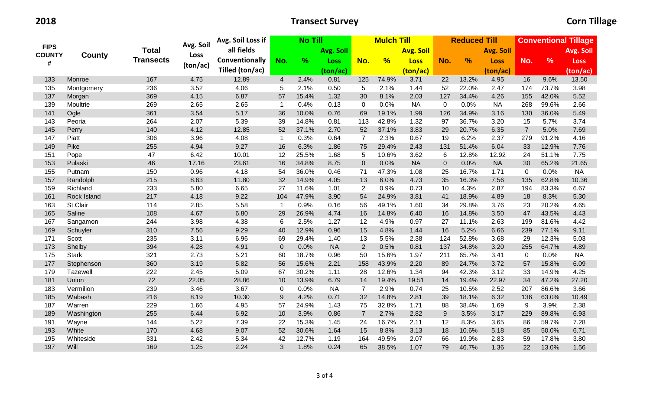|                    |              | Total            | Avg. Soil | Avg. Soil Loss if |                | <b>No Till</b> |             |                | <b>Mulch Till</b> |             |                  | <b>Reduced Till</b> |             | <b>Conventional Tillage</b> |               |             |  |
|--------------------|--------------|------------------|-----------|-------------------|----------------|----------------|-------------|----------------|-------------------|-------------|------------------|---------------------|-------------|-----------------------------|---------------|-------------|--|
| <b>FIPS</b>        |              |                  |           | all fields        |                |                | Avg. Soil   |                | <b>Avg. Soil</b>  |             |                  | <b>Avg. Soil</b>    |             |                             |               | Avg. Soil   |  |
| <b>COUNTY</b><br># | County       | <b>Transects</b> | Loss      | Conventionally    | No.            | $\frac{9}{6}$  | <b>Loss</b> | No.            | $\frac{9}{6}$     | <b>Loss</b> | No.              | $\frac{9}{6}$       | <b>Loss</b> | No.                         | $\frac{9}{6}$ | <b>Loss</b> |  |
|                    |              |                  | (ton/ac)  | Tilled (ton/ac)   |                |                | (ton/ac)    |                |                   | (ton/ac)    |                  |                     | (ton/ac)    |                             |               | (ton/ac)    |  |
| 133                | Monroe       | 167              | 4.75      | 12.89             | $\overline{4}$ | 2.4%           | 0.81        | 125            | 74.9%             | 3.71        | 22               | 13.2%               | 4.95        | 16                          | 9.6%          | 13.50       |  |
| 135                | Montgomery   | 236              | 3.52      | 4.06              | 5              | 2.1%           | 0.50        | 5              | 2.1%              | 1.44        | 52               | 22.0%               | 2.47        | 174                         | 73.7%         | 3.98        |  |
| 137                | Morgan       | 369              | 4.15      | 6.87              | 57             | 15.4%          | 1.32        | 30             | 8.1%              | 2.03        | 127              | 34.4%               | 4.26        | 155                         | 42.0%         | 5.52        |  |
| 139                | Moultrie     | 269              | 2.65      | 2.65              | -1             | 0.4%           | 0.13        | $\mathbf 0$    | 0.0%              | <b>NA</b>   | $\mathbf 0$      | 0.0%                | <b>NA</b>   | 268                         | 99.6%         | 2.66        |  |
| 141                | Ogle         | 361              | 3.54      | 5.17              | 36             | 10.0%          | 0.76        | 69             | 19.1%             | 1.99        | 126              | 34.9%               | 3.16        | 130                         | 36.0%         | 5.49        |  |
| 143                | Peoria       | 264              | 2.07      | 5.39              | 39             | 14.8%          | 0.81        | 113            | 42.8%             | 1.32        | 97               | 36.7%               | 3.20        | 15                          | 5.7%          | 3.74        |  |
| 145                | Perry        | 140              | 4.12      | 12.85             | 52             | 37.1%          | 2.70        | 52             | 37.1%             | 3.83        | 29               | 20.7%               | 6.35        | $\overline{7}$              | 5.0%          | 7.69        |  |
| 147                | Piatt        | 306              | 3.96      | 4.08              | $\mathbf{1}$   | 0.3%           | 0.64        | $\overline{7}$ | 2.3%              | 0.67        | 19               | 6.2%                | 2.37        | 279                         | 91.2%         | 4.16        |  |
| 149                | Pike         | 255              | 4.94      | 9.27              | 16             | 6.3%           | 1.86        | 75             | 29.4%             | 2.43        | 131              | 51.4%               | 6.04        | 33                          | 12.9%         | 7.76        |  |
| 151                | Pope         | 47               | 6.42      | 10.01             | 12             | 25.5%          | 1.68        | 5              | 10.6%             | 3.62        | $\,6$            | 12.8%               | 12.92       | 24                          | 51.1%         | 7.75        |  |
| 153                | Pulaski      | 46               | 17.16     | 23.61             | 16             | 34.8%          | 8.75        | $\pmb{0}$      | 0.0%              | <b>NA</b>   | $\boldsymbol{0}$ | 0.0%                | <b>NA</b>   | 30                          | 65.2%         | 21.65       |  |
| 155                | Putnam       | 150              | 0.96      | 4.18              | 54             | 36.0%          | 0.46        | 71             | 47.3%             | 1.08        | 25               | 16.7%               | 1.71        | $\mathbf 0$                 | 0.0%          | <b>NA</b>   |  |
| 157                | Randolph     | 215              | 8.63      | 11.80             | 32             | 14.9%          | 4.05        | 13             | 6.0%              | 4.73        | 35               | 16.3%               | 7.56        | 135                         | 62.8%         | 10.36       |  |
| 159                | Richland     | 233              | 5.80      | 6.65              | 27             | 11.6%          | 1.01        | $\overline{2}$ | 0.9%              | 0.73        | 10               | 4.3%                | 2.87        | 194                         | 83.3%         | 6.67        |  |
| 161                | Rock Island  | 217              | 4.18      | 9.22              | 104            | 47.9%          | 3.90        | 54             | 24.9%             | 3.81        | 41               | 18.9%               | 4.89        | 18                          | 8.3%          | 5.30        |  |
| 163                | St Clair     | 114              | 2.85      | 5.58              | -1             | 0.9%           | 0.16        | 56             | 49.1%             | 1.60        | 34               | 29.8%               | 3.76        | 23                          | 20.2%         | 4.65        |  |
| 165                | Saline       | 108              | 4.67      | 6.80              | 29             | 26.9%          | 4.74        | 16             | 14.8%             | 6.40        | 16               | 14.8%               | 3.50        | 47                          | 43.5%         | 4.43        |  |
| 167                | Sangamon     | 244              | 3.98      | 4.38              | 6              | 2.5%           | 1.27        | 12             | 4.9%              | 0.97        | 27               | 11.1%               | 2.63        | 199                         | 81.6%         | 4.42        |  |
| 169                | Schuyler     | 310              | 7.56      | 9.29              | 40             | 12.9%          | 0.96        | 15             | 4.8%              | 1.44        | 16               | 5.2%                | 6.66        | 239                         | 77.1%         | 9.11        |  |
| 171                | Scott        | 235              | 3.11      | 6.96              | 69             | 29.4%          | 1.40        | 13             | 5.5%              | 2.38        | 124              | 52.8%               | 3.68        | 29                          | 12.3%         | 5.03        |  |
| 173                | Shelby       | 394              | 4.28      | 4.91              | $\mathbf{0}$   | 0.0%           | <b>NA</b>   | $\overline{2}$ | 0.5%              | 0.81        | 137              | 34.8%               | 3.20        | 255                         | 64.7%         | 4.89        |  |
| 175                | <b>Stark</b> | 321              | 2.73      | 5.21              | 60             | 18.7%          | 0.96        | 50             | 15.6%             | 1.97        | 211              | 65.7%               | 3.41        | $\mathbf 0$                 | 0.0%          | <b>NA</b>   |  |
| 177                | Stephenson   | 360              | 3.19      | 5.82              | 56             | 15.6%          | 2.21        | 158            | 43.9%             | 2.20        | 89               | 24.7%               | 3.72        | 57                          | 15.8%         | 6.09        |  |
| 179                | Tazewell     | 222              | 2.45      | 5.09              | 67             | 30.2%          | 1.11        | 28             | 12.6%             | 1.34        | 94               | 42.3%               | 3.12        | 33                          | 14.9%         | 4.25        |  |
| 181                | Union        | 72               | 22.05     | 28.86             | 10             | 13.9%          | 6.79        | 14             | 19.4%             | 19.51       | 14               | 19.4%               | 22.97       | 34                          | 47.2%         | 27.20       |  |
| 183                | Vermilion    | 239              | 3.46      | 3.67              | $\mathbf 0$    | 0.0%           | <b>NA</b>   | $\overline{7}$ | 2.9%              | 0.74        | 25               | 10.5%               | 2.52        | 207                         | 86.6%         | 3.66        |  |
| 185                | Wabash       | 216              | 8.19      | 10.30             | 9              | 4.2%           | 0.71        | 32             | 14.8%             | 2.81        | 39               | 18.1%               | 6.32        | 136                         | 63.0%         | 10.49       |  |
| 187                | Warren       | 229              | 1.66      | 4.95              | 57             | 24.9%          | 1.43        | 75             | 32.8%             | 1.71        | 88               | 38.4%               | 1.69        | 9                           | 3.9%          | 2.38        |  |
| 189                | Washington   | 255              | 6.44      | 6.92              | 10             | 3.9%           | 0.86        | $\overline{7}$ | 2.7%              | 2.82        | $\boldsymbol{9}$ | 3.5%                | 3.17        | 229                         | 89.8%         | 6.93        |  |
| 191                | Wayne        | 144              | 5.22      | 7.39              | 22             | 15.3%          | 1.45        | 24             | 16.7%             | 2.11        | 12               | 8.3%                | 3.65        | 86                          | 59.7%         | 7.28        |  |
| 193                | White        | 170              | 4.68      | 9.07              | 52             | 30.6%          | 1.64        | 15             | 8.8%              | 3.13        | 18               | 10.6%               | 5.18        | 85                          | 50.0%         | 6.71        |  |
| 195                | Whiteside    | 331              | 2.42      | 5.34              | 42             | 12.7%          | 1.19        | 164            | 49.5%             | 2.07        | 66               | 19.9%               | 2.83        | 59                          | 17.8%         | 3.80        |  |
| 197                | Will         | 169              | 1.25      | 2.24              | 3              | 1.8%           | 0.24        | 65             | 38.5%             | 1.07        | 79               | 46.7%               | 1.36        | 22                          | 13.0%         | 1.56        |  |